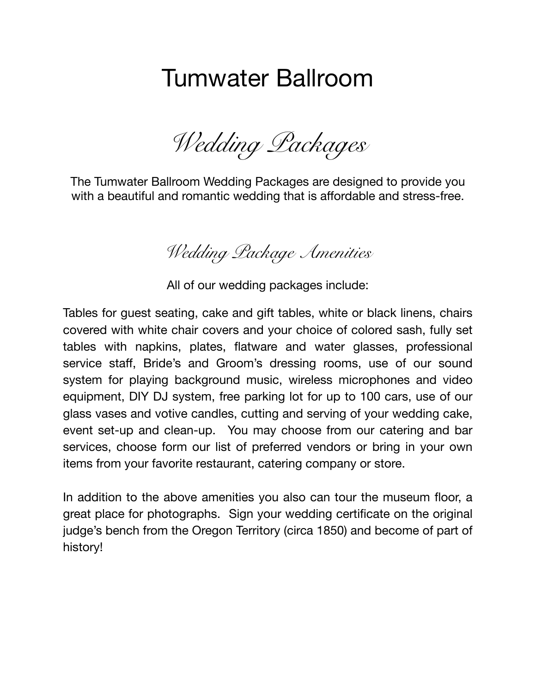# Tumwater Ballroom

*Wedding Packages* 

The Tumwater Ballroom Wedding Packages are designed to provide you with a beautiful and romantic wedding that is affordable and stress-free.

*Wedding Package Amenities* 

All of our wedding packages include:

Tables for guest seating, cake and gift tables, white or black linens, chairs covered with white chair covers and your choice of colored sash, fully set tables with napkins, plates, flatware and water glasses, professional service staff, Bride's and Groom's dressing rooms, use of our sound system for playing background music, wireless microphones and video equipment, DIY DJ system, free parking lot for up to 100 cars, use of our glass vases and votive candles, cutting and serving of your wedding cake, event set-up and clean-up. You may choose from our catering and bar services, choose form our list of preferred vendors or bring in your own items from your favorite restaurant, catering company or store.

In addition to the above amenities you also can tour the museum floor, a great place for photographs. Sign your wedding certificate on the original judge's bench from the Oregon Territory (circa 1850) and become of part of history!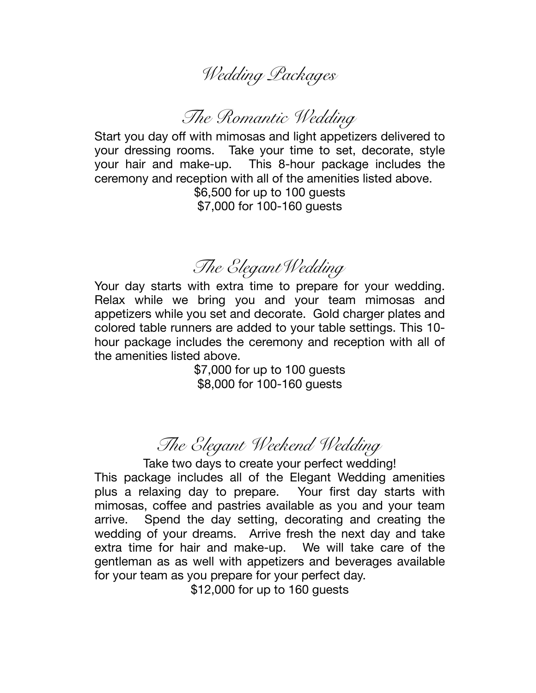## *Wedding Packages*

#### *The Romantic Wedding*

Start you day off with mimosas and light appetizers delivered to your dressing rooms. Take your time to set, decorate, style your hair and make-up. This 8-hour package includes the ceremony and reception with all of the amenities listed above.

\$6,500 for up to 100 guests \$7,000 for 100-160 guests

### *The ElegantWedding*

Your day starts with extra time to prepare for your wedding. Relax while we bring you and your team mimosas and appetizers while you set and decorate. Gold charger plates and colored table runners are added to your table settings. This 10 hour package includes the ceremony and reception with all of the amenities listed above.

> \$7,000 for up to 100 guests \$8,000 for 100-160 guests

#### *The Elegant Weekend Wedding*

Take two days to create your perfect wedding! This package includes all of the Elegant Wedding amenities plus a relaxing day to prepare. Your first day starts with mimosas, coffee and pastries available as you and your team arrive. Spend the day setting, decorating and creating the wedding of your dreams. Arrive fresh the next day and take extra time for hair and make-up. We will take care of the gentleman as as well with appetizers and beverages available for your team as you prepare for your perfect day.

\$12,000 for up to 160 guests